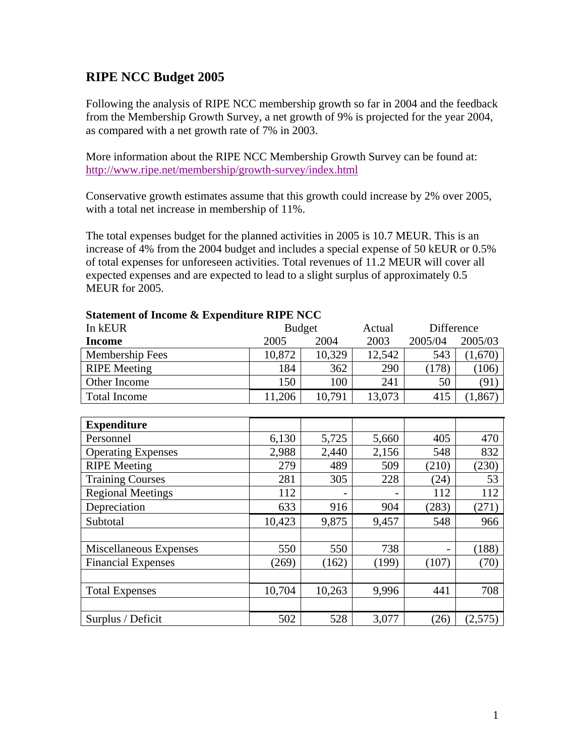# **RIPE NCC Budget 2005**

Following the analysis of RIPE NCC membership growth so far in 2004 and the feedback from the Membership Growth Survey, a net growth of 9% is projected for the year 2004, as compared with a net growth rate of 7% in 2003.

More information about the RIPE NCC Membership Growth Survey can be found at: http://www.ripe.net/membership/growth-survey/index.html

Conservative growth estimates assume that this growth could increase by 2% over 2005, with a total net increase in membership of 11%.

The total expenses budget for the planned activities in 2005 is 10.7 MEUR. This is an increase of 4% from the 2004 budget and includes a special expense of 50 kEUR or 0.5% of total expenses for unforeseen activities. Total revenues of 11.2 MEUR will cover all expected expenses and are expected to lead to a slight surplus of approximately 0.5 MEUR for 2005.

| $\alpha$ and $\alpha$ income $\alpha$ expenditure $\alpha$ is recovered. |        |               |        |            |          |
|--------------------------------------------------------------------------|--------|---------------|--------|------------|----------|
| In kEUR                                                                  |        | <b>Budget</b> |        | Difference |          |
| <b>Income</b>                                                            | 2005   | 2004          | 2003   | 2005/04    | 2005/03  |
| Membership Fees                                                          | 10,872 | 10,329        | 12,542 | 543        | (1,670)  |
| <b>RIPE</b> Meeting                                                      | 184    | 362           | 290    | (178)      | (106)    |
| Other Income                                                             | 150    | 100           | 241    | 50         | (91)     |
| <b>Total Income</b>                                                      | 11,206 | 10,791        | 13,073 | 415        | (1, 867) |
|                                                                          |        |               |        |            |          |
| <b>Expenditure</b>                                                       |        |               |        |            |          |
| Personnel                                                                | 6,130  | 5,725         | 5,660  | 405        | 470      |
| <b>Operating Expenses</b>                                                | 2,988  | 2,440         | 2,156  | 548        | 832      |
| <b>RIPE</b> Meeting                                                      | 279    | 489           | 509    | (210)      | (230)    |
| <b>Training Courses</b>                                                  | 281    | 305           | 228    | (24)       | 53       |
| <b>Regional Meetings</b>                                                 | 112    |               |        | 112        | 112      |
| Depreciation                                                             | 633    | 916           | 904    | (283)      | (271)    |
| Subtotal                                                                 | 10,423 | 9,875         | 9,457  | 548        | 966      |
|                                                                          |        |               |        |            |          |
| Miscellaneous Expenses                                                   | 550    | 550           | 738    |            | (188)    |
| <b>Financial Expenses</b>                                                | (269)  | (162)         | (199)  | (107)      | (70)     |
|                                                                          |        |               |        |            |          |
| <b>Total Expenses</b>                                                    | 10,704 | 10,263        | 9,996  | 441        | 708      |
|                                                                          |        |               |        |            |          |
| Surplus / Deficit                                                        | 502    | 528           | 3,077  | (26)       | (2,575)  |

## **Statement of Income & Expenditure RIPE NCC**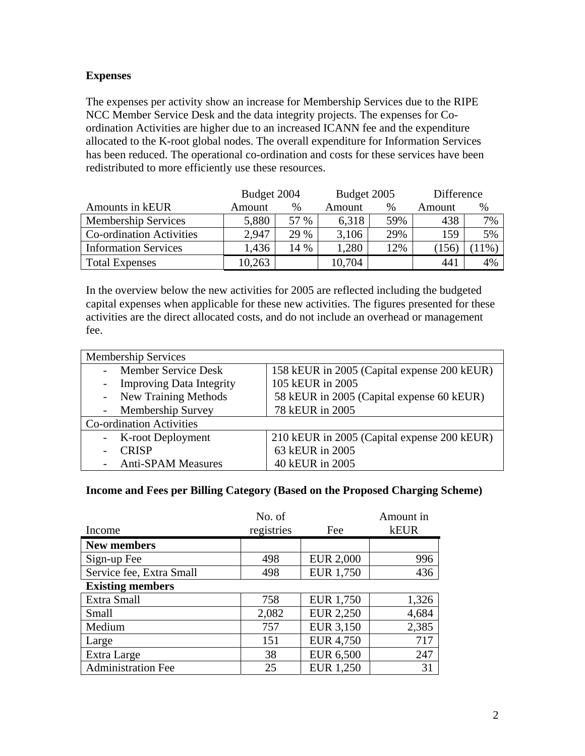### **Expenses**

The expenses per activity show an increase for Membership Services due to the RIPE NCC Member Service Desk and the data integrity projects. The expenses for Coordination Activities are higher due to an increased ICANN fee and the expenditure allocated to the K-root global nodes. The overall expenditure for Information Services has been reduced. The operational co-ordination and costs for these services have been redistributed to more efficiently use these resources.

|                                 | Budget 2004 |      | Budget 2005 |      | Difference |       |
|---------------------------------|-------------|------|-------------|------|------------|-------|
| Amounts in kEUR                 | Amount      | %    | Amount      | $\%$ | Amount     | %     |
| <b>Membership Services</b>      | 5,880       | 57 % | 6,318       | 59%  | 438        | 7%    |
| <b>Co-ordination Activities</b> | 2.947       | 29 % | 3,106       | 29%  | 159        | 5%    |
| <b>Information Services</b>     | 1,436       | 14 % | .280        | 12%  | (156)      | $1\%$ |
| <b>Total Expenses</b>           | 10,263      |      | 10,704      |      | 441        | 4%    |

In the overview below the new activities for 2005 are reflected including the budgeted capital expenses when applicable for these new activities. The figures presented for these activities are the direct allocated costs, and do not include an overhead or management fee.

| <b>Membership Services</b>      |                                             |  |  |  |  |
|---------------------------------|---------------------------------------------|--|--|--|--|
| <b>Member Service Desk</b>      | 158 kEUR in 2005 (Capital expense 200 kEUR) |  |  |  |  |
| <b>Improving Data Integrity</b> | 105 kEUR in 2005                            |  |  |  |  |
| - New Training Methods          | 58 kEUR in 2005 (Capital expense 60 kEUR)   |  |  |  |  |
| <b>Membership Survey</b>        | 78 kEUR in 2005                             |  |  |  |  |
| <b>Co-ordination Activities</b> |                                             |  |  |  |  |
| - K-root Deployment             | 210 kEUR in 2005 (Capital expense 200 kEUR) |  |  |  |  |
| <b>CRISP</b>                    | 63 kEUR in 2005                             |  |  |  |  |
| <b>Anti-SPAM Measures</b>       | 40 kEUR in 2005                             |  |  |  |  |

#### **Income and Fees per Billing Category (Based on the Proposed Charging Scheme)**

|                           | No. of     |                  | Amount in   |  |  |
|---------------------------|------------|------------------|-------------|--|--|
| Income                    | registries | Fee              | <b>kEUR</b> |  |  |
| <b>New members</b>        |            |                  |             |  |  |
| Sign-up Fee               | 498        | <b>EUR 2,000</b> | 996         |  |  |
| Service fee, Extra Small  | 498        | <b>EUR 1,750</b> | 436         |  |  |
| <b>Existing members</b>   |            |                  |             |  |  |
| Extra Small               | 758        | EUR 1,750        | 1,326       |  |  |
| Small                     | 2,082      | <b>EUR 2,250</b> | 4,684       |  |  |
| Medium                    | 757        | EUR 3,150        | 2,385       |  |  |
| Large                     | 151        | <b>EUR 4,750</b> | 717         |  |  |
| Extra Large               | 38         | EUR 6,500        | 247         |  |  |
| <b>Administration Fee</b> | 25         | <b>EUR 1,250</b> | 31          |  |  |